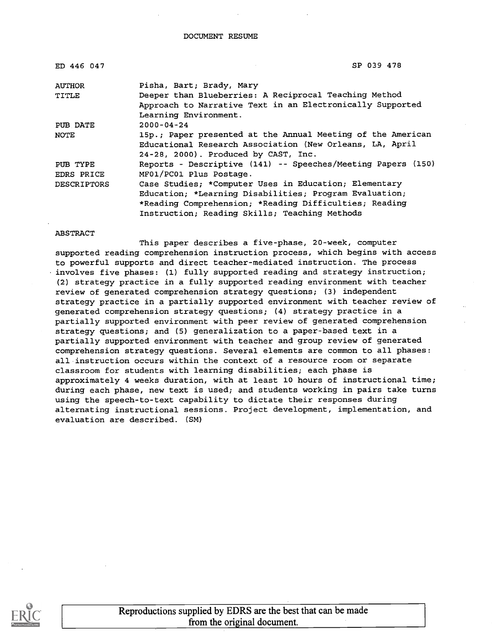DOCUMENT RESUME

| ED 446 047         | SP 039 478                                                   |
|--------------------|--------------------------------------------------------------|
| <b>AUTHOR</b>      | Pisha, Bart; Brady, Mary                                     |
| TITLE              | Deeper than Blueberries: A Reciprocal Teaching Method        |
|                    | Approach to Narrative Text in an Electronically Supported    |
|                    | Learning Environment.                                        |
| PUB DATE           | $2000 - 04 - 24$                                             |
| NOTE               | 15p.; Paper presented at the Annual Meeting of the American  |
|                    | Educational Research Association (New Orleans, LA, April     |
|                    | 24-28, 2000). Produced by CAST, Inc.                         |
| PUB TYPE           | Reports - Descriptive (141) -- Speeches/Meeting Papers (150) |
| EDRS PRICE         | MF01/PC01 Plus Postage.                                      |
| <b>DESCRIPTORS</b> | Case Studies; *Computer Uses in Education; Elementary        |
|                    | Education; *Learning Disabilities; Program Evaluation;       |
|                    | *Reading Comprehension; *Reading Difficulties; Reading       |
|                    | Instruction; Reading Skills; Teaching Methods                |

#### ABSTRACT

This paper describes a five-phase, 20-week, computer supported reading comprehension instruction process, which begins with access to powerful supports and direct teacher-mediated instruction. The process involves five phases: (1) fully supported reading and strategy instruction; (2) strategy practice in a fully supported reading environment with teacher review of generated comprehension strategy questions; (3) independent strategy practice in a partially supported environment with teacher review of generated comprehension strategy questions; (4) strategy practice in a partially supported environment with peer review of generated comprehension strategy questions; and (5) generalization to a paper-based text in a partially supported environment with teacher and group review of generated comprehension strategy questions. Several elements are common to all phases: all instruction occurs within the context of a resource room or separate classroom for students with learning disabilities; each phase is approximately 4 weeks duration, with at least 10 hours of instructional time; during each phase, new text is used; and students working in pairs take turns using the speech-to-text capability to dictate their responses during alternating instructional sessions. Project development, implementation, and evaluation are described. (SM)



Reproductions supplied by EDRS are the best that can be made from the original document.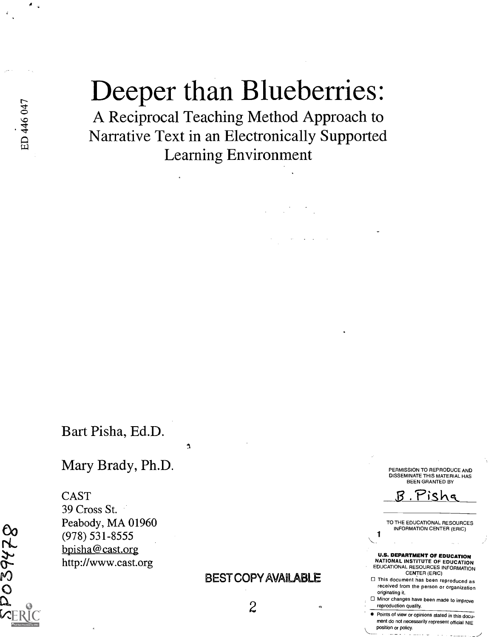# Deeper than Blueberries:

A Reciprocal Teaching Method Approach to Narrative Text in an Electronically Supported Learning Environment

Bart Pisha, Ed.D.

Mary Brady, Ph.D.

 $\mathbf{A}$ 

CAST 39 Cross St. Peabody, MA 01960 (978) 531-8555 bpisha@cast.org http://www.cast.org

### BEST COPY AVAILABLE

PERMISSION TO REPRODUCE AND DISSEMINATE THIS MATERIAL HAS BEEN GRANTED BY

'isk

TO THE EDUCATIONAL RESOURCES INFORMATION CENTER (ERIC)

#### U.S. DEPARTMENT OF EDUCATION

NATIONAL INSTITUTE OF EDUCATION EDUCATIONAL RESOURCES INFORMATION CENTER (ERIC)

- This document has been reproduced as received from the person or organization originating it.
- Minor changes have been made to improve reproduction quality.
- **Points of view or opinions stated in this docu**ment do not necessarily represent official NIE position or policy.

522620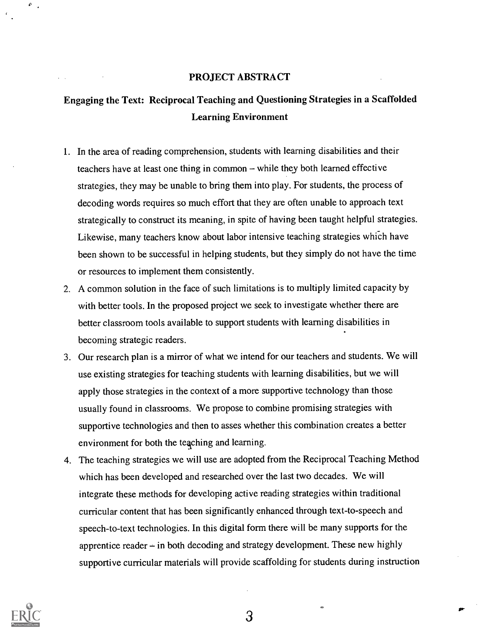#### PROJECT ABSTRACT

# Engaging the Text: Reciprocal Teaching and Questioning Strategies in a Scaffolded Learning Environment

- 1. In the area of reading comprehension, students with learning disabilities and their teachers have at least one thing in common – while they both learned effective strategies, they may be unable to bring them into play. For students, the process of decoding words requires so much effort that they are often unable to approach text strategically to construct its meaning, in spite of having been taught helpful strategies. Likewise, many teachers know about labor intensive teaching strategies which have been shown to be successful in helping students, but they simply do not have the time or resources to implement them consistently.
- 2. A common solution in the face of such limitations is to multiply limited capacity by with better tools. In the proposed project we seek to investigate whether there are better classroom tools available to support students with learning disabilities in becoming strategic readers.
- 3. Our research plan is a mirror of what we intend for our teachers and students. We will use existing strategies for teaching students with learning disabilities, but we will apply those strategies in the context of a more supportive technology than those usually found in classrooms. We propose to combine promising strategies with supportive technologies and then to asses whether this combination creates a better environment for both the teaching and learning.
- 4. The teaching strategies we will use are adopted from the Reciprocal Teaching Method which has been developed and researched over the last two decades. We will integrate these methods for developing active reading strategies within traditional curricular content that has been significantly enhanced through text-to-speech and speech-to-text technologies. In this digital form there will be many supports for the apprentice reader  $-\text{in}$  both decoding and strategy development. These new highly supportive curricular materials will provide scaffolding for students during instruction



 $\theta_{\rm max}$ 

3

 $\Rightarrow$ 

 $\mathbf{r}$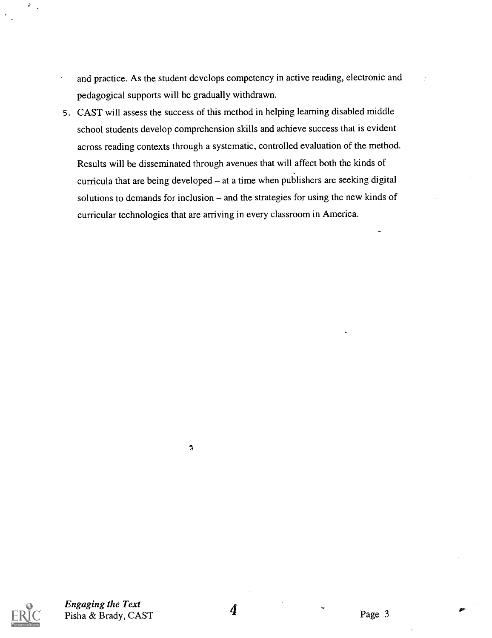- and practice. As the student develops competency in active reading, electronic and pedagogical supports will be gradually withdrawn.
- 5. CAST will assess the success of this method in helping learning disabled middle school students develop comprehension skills and achieve success that is evident across reading contexts through a systematic, controlled evaluation of the method. Results will be disseminated through avenues that will affect both the kinds of curricula that are being developed  $-$  at a time when publishers are seeking digital solutions to demands for inclusion  $-$  and the strategies for using the new kinds of curricular technologies that are arriving in every classroom in America.



 $\mathfrak{I}$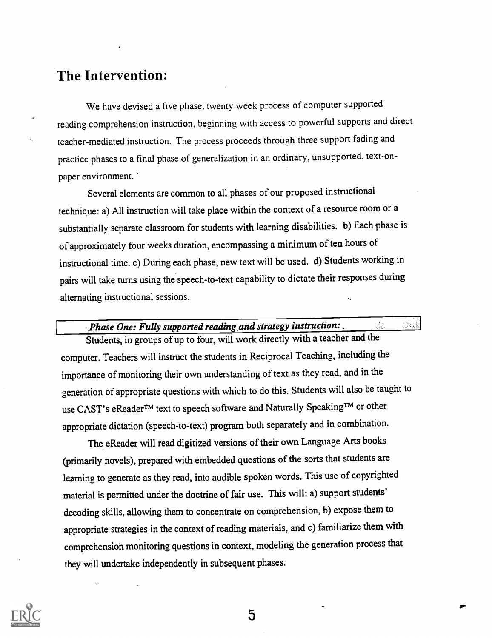# The Intervention:

We have devised a five phase, twenty week process of computer supported reading comprehension instruction, beginning with access to powerful supports and direct teacher-mediated instruction. The process proceeds through three support fading and practice phases to a final phase of generalization in an ordinary, unsupported, text-onpaper environment.

Several elements are common to all phases of our proposed instructional technique: a) All instruction will take place within the context of a resource room or a substantially separate classroom for students with learning disabilities. b) Each-phase is of approximately four weeks duration, encompassing a minimum of ten hours of instructional time. c) During each phase, new text will be used. d) Students working in pairs will take turns using the speech-to-text capability to dictate their responses during alternating instructional sessions.

| Phase One: Fully supported reading and strategy instruction:                 | 2 kilom | $\sim$ $\sim$ |
|------------------------------------------------------------------------------|---------|---------------|
| Students, in groups of up to four, will work directly with a teacher and the |         |               |

computer. Teachers will instruct the students in Reciprocal Teaching, including the importance of monitoring their own understanding of text as they read, and in the generation of appropriate questions with which to do this. Students will also be taught to use CAST's eReaderTM text to speech software and Naturally SpeakingTM or other appropriate dictation (speech-to-text) program both separately and in combination.

The eReader will read digitized versions of their own Language Arts books (primarily novels), prepared with embedded questions of the sorts that students are learning to generate as they read, into audible spoken words. This use of copyrighted material is permitted under the doctrine of fair use. This will: a) support students' decoding skills, allowing them to concentrate on comprehension, b) expose them to appropriate strategies in the context of reading materials, and c) familiarize them with comprehension monitoring questions in context, modeling the generation process that they will undertake independently in subsequent phases.



5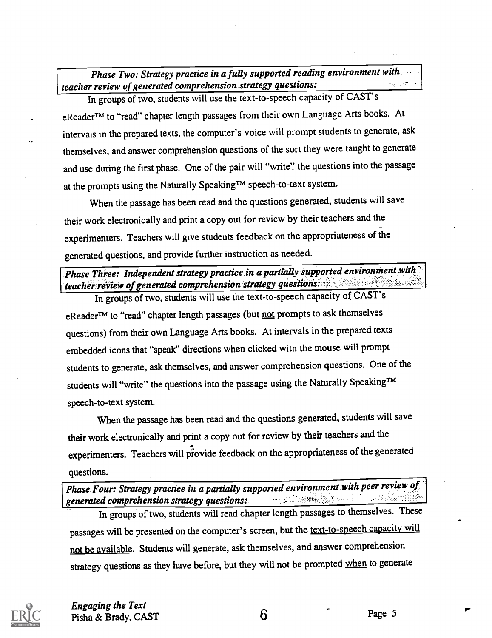Phase Two: Strategy practice in a fully supported reading environment with teacher review of generated comprehension strategy questions:

In groups of two, students will use the text-to-speech capacity of CAST's eReaderTM to "read" chapter length passages from their own Language Arts books. At intervals in the prepared texts, the computer's voice will prompt students to generate, ask themselves, and answer comprehension questions of the sort they were taught to generate and use during the first phase. One of the pair will "write': the questions into the passage at the prompts using the Naturally Speaking™ speech-to-text system.

When the passage has been read and the questions generated, students will save their work electronically and print a copy out for review by their teachers and the experimenters. Teachers will give students feedback on the appropriateness of the generated questions, and provide further instruction as needed.

# Phase Three: Independent strategy practice in a partially supported environment with teacher review of generated comprehension strategy questions::

In groups of two, students will use the text-to-speech capacity of CAST's eReader<sup>TM</sup> to "read" chapter length passages (but not prompts to ask themselves questions) from their own Language Arts books. At intervalsin the prepared texts embedded icons that "speak" directions when clicked with the mouse will prompt students to generate, ask themselves, and answer comprehension questions. One of the students will "write" the questions into the passage using the Naturally Speaking™ speech-to-text system.

When the passage has been read and the questions generated, students will save their work electronically and print a copy out for review by their teachers and the experimenters. Teachers will provide feedback on the appropriateness of the generated questions.

Phase Four: Strategy practice in a partially supported environment with peer review of concrete comprehension strategy questions: generated comprehension strategy questions:

In groups of two, students will read chapter length passages to themselves. These passages will be presented on the computer's screen, but the text-to-speech capacity will not be available. Students will generate, ask themselves, and answer comprehension strategy questions as they have before, but they will not be prompted when to generate



Engaging the Text Pisha & Brady, CAST 6 Page 5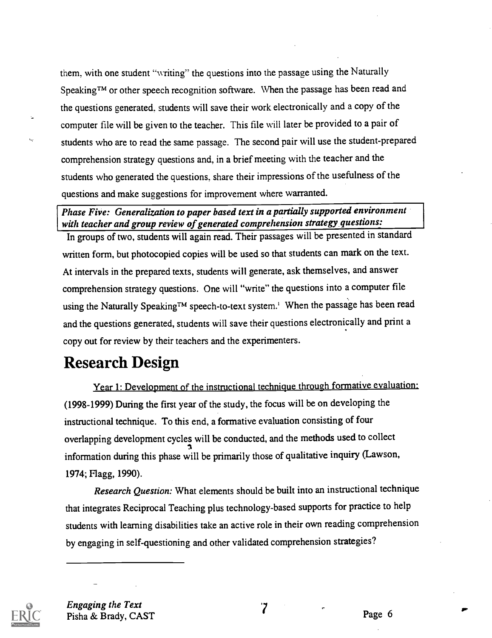them. with one student "writing" the questions into the passage using the Naturally SpeakingTM or other speech recognition software. When the passage has been read and the questions generated. students will save their work electronically and a copy of the computer file will be given to the teacher. This file will later be provided to a pair of students who are to read the same passage. The second pair will use the student-prepared comprehension strategy questions and, in a brief meeting with the teacher and the students who generated the questions, share their impressions of the usefulness of the questions and make suggestions for improvement where warranted.

Phase Five: Generalization to paper based text in a partially supported environment with teacher and group review of generated comprehension strategy questions:

In groups of two, students will again read. Their passages will be presented in standard written form, but photocopied copies will be used so that students can mark on the text. At intervals in the prepared texts, students will generate, ask themselves, and answer comprehension strategy questions. One will "write" the questions into a computer file using the Naturally Speaking<sup>TM</sup> speech-to-text system.<sup>1</sup> When the passage has been read and the questions generated, students will save their questions electronically and print a copy out for review by their teachers and the experimenters.

# Research Design

Year 1: Development of the instructional technique through formative evaluation: (1998-1999) During the first year of the study, the focus will be on developing the instructional technique. To this end, a formative evaluation consisting of four overlapping development cycles will be conducted, and the methods used to collect information during this phase will be primarily those of qualitative inquiry (Lawson, 1974; Flagg, 1990).

Research Question: What elements should be built into an instructional technique that integrates Reciprocal Teaching plus technology-based supports for practice to help students with learning disabilities take an active role in their own reading comprehension by engaging in self-questioning and other validated comprehension strategies?



Engaging the Text Pisha & Brady, CAST The Case of The Page 6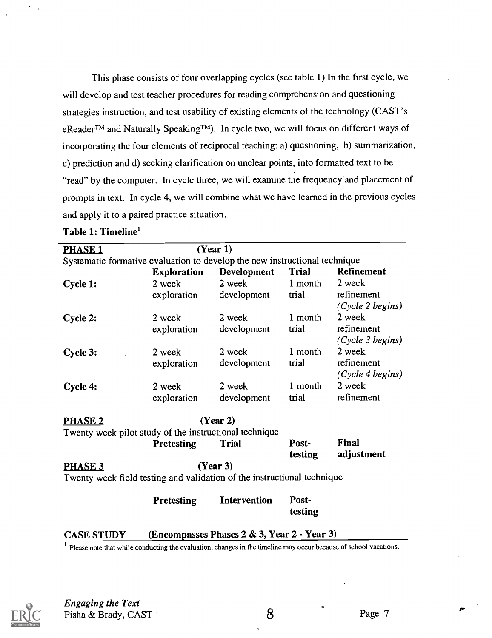This phase consists of four overlapping cycles (see table 1) In the first cycle, we will develop and test teacher procedures for reading comprehension and questioning strategies instruction, and test usability of existing elements of the technology (CAST's eReader<sup>™</sup> and Naturally Speaking<sup>™</sup>). In cycle two, we will focus on different ways of incorporating the four elements of reciprocal teaching: a) questioning, b) summarization, c) prediction and d) seeking clarification on unclear points, into formatted text to be "read" by the computer. In cycle three, we will examine the frequency'and placement of prompts in text. In cycle 4, we will combine what we have learned in the previous cycles and apply it to a paired practice situation.

| <b>PHASE 1</b>    |                                                                            | (Year 1)                                    |              |                  |
|-------------------|----------------------------------------------------------------------------|---------------------------------------------|--------------|------------------|
|                   | Systematic formative evaluation to develop the new instructional technique |                                             |              |                  |
|                   | <b>Exploration</b>                                                         | <b>Development</b>                          | <b>Trial</b> | Refinement       |
| Cycle 1:          | 2 week                                                                     | 2 week                                      | 1 month      | 2 week           |
|                   | exploration                                                                | development                                 | trial        | refinement       |
|                   |                                                                            |                                             |              | (Cycle 2 begins) |
| Cycle 2:          | 2 week                                                                     | 2 week                                      | 1 month      | 2 week           |
|                   | exploration                                                                | development                                 | trial        | refinement       |
|                   |                                                                            |                                             |              | (Cycle 3 begins) |
| Cycle 3:          | 2 week                                                                     | 2 week                                      | 1 month      | 2 week           |
|                   | exploration                                                                | development                                 | trial        | refinement       |
|                   |                                                                            |                                             |              | (Cycle 4 begins) |
| Cycle 4:          | 2 week                                                                     | 2 week                                      | 1 month      | 2 week           |
|                   | exploration                                                                | development                                 | trial        | refinement       |
| <b>PHASE 2</b>    |                                                                            | (Year 2)                                    |              |                  |
|                   | Twenty week pilot study of the instructional technique                     |                                             |              |                  |
|                   | Pretesting                                                                 | <b>Trial</b>                                | Post-        | Final            |
|                   |                                                                            |                                             | testing      | adjustment       |
| PHASE 3           |                                                                            | (Year 3)                                    |              |                  |
|                   | Twenty week field testing and validation of the instructional technique    |                                             |              |                  |
|                   |                                                                            |                                             |              |                  |
|                   | Pretesting                                                                 | <b>Intervention</b>                         | Post-        |                  |
|                   |                                                                            |                                             | testing      |                  |
|                   |                                                                            |                                             |              |                  |
| <b>CASE STUDY</b> |                                                                            | (Encompasses Phases 2 & 3, Year 2 - Year 3) |              |                  |

Table 1: Timeline'

<sup>1</sup> Please note that while conducting the evaluation, changes in the timeline may occur because of school vacations.



Engaging the Text Pisha & Brady, CAST 8 Page 7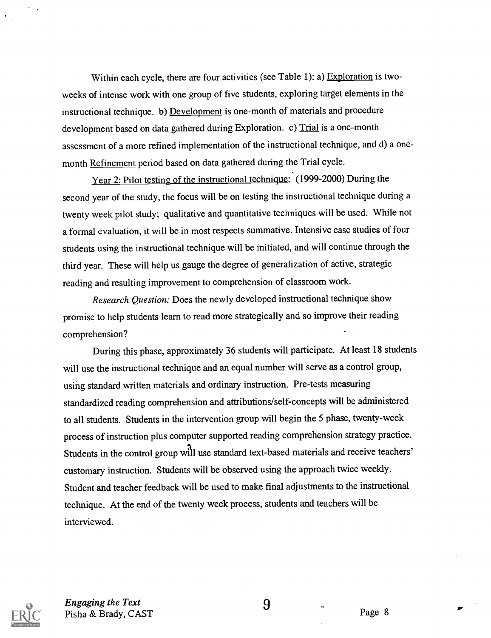Within each cycle, there are four activities (see Table 1): a) Exploration is twoweeks of intense work with one group of five students, exploring target elements in the instructional technique. b) Development is one-month of materials and procedure development based on data gathered during Exploration. c) Trial is a one-month assessment of a more refined implementation of the instructional technique, and d) a onemonth Refinement period based on data gathered during the Trial cycle.

Year 2: Pilot testing of the instructional technique: (1999-2000) During the second year of the study, the focus will be on testing the instructional technique during a twenty week pilot study; qualitative and quantitative techniques will be used. While not a formal evaluation, it will be in most respects summative. Intensive case studies of four students using the instructional technique will be initiated, and will continue through the third year. These will help us gauge the degree of generalization of active, strategic reading and resulting improvement to comprehension of classroom work.

Research Question: Does the newly developed instructional technique show promise to help students learn to read more strategically and so improve their reading comprehension?

During this phase, approximately 36 students will participate. At least 18 students will use the instructional technique and an equal number will serve as a control group, using standard written materials and ordinary instruction. Pre-tests measuring standardized reading comprehension and attributions/self-concepts will be administered to all students. Students in the intervention group will begin the 5 phase, twenty-week process of instruction plus computer supported reading comprehension strategy practice. Students in the control group will use standard text-based materials and receive teachers' customary instruction. Students will be observed using the approach twice weekly. Student and teacher feedback will be used to make final adjustments to the instructional technique. At the end of the twenty week process, students and teachers will be interviewed.



Engaging the Text 9 Pisha & Brady, CAST Page 8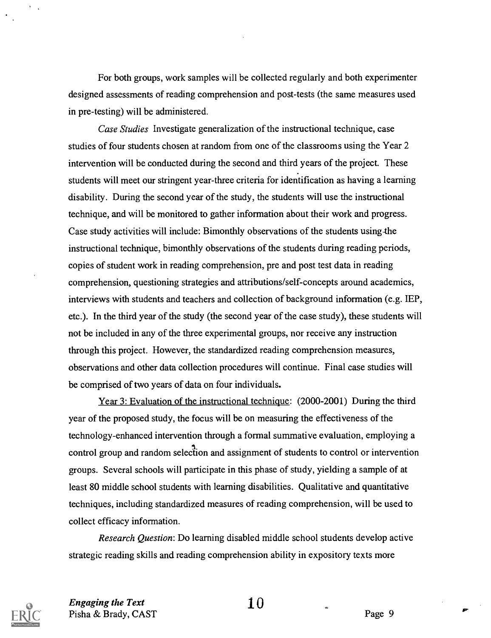For both groups, work samples will be collected regularly and both experimenter designed assessments of reading comprehension and post-tests (the same measures used in pre-testing) will be administered.

Case Studies Investigate generalization of the instructional technique, case studies of four students chosen at random from one of the classrooms using the Year 2 intervention will be conducted during the second and third years of the project. These students will meet our stringent year-three criteria for identification as having a learning disability. During the second year of the study, the students will use the instructional technique, and will be monitored to gather information about their work and progress. Case study activities will include: Bimonthly observations of the students using-the instructional technique, bimonthly observations of the students during reading periods, copies of student work in reading comprehension, pre and post test data in reading comprehension, questioning strategies and attributions/self-concepts around academics, interviews with students and teachers and collection of background information (e.g. IEP, etc.). In the third year of the study (the second year of the case study), these students will not be included in any of the three experimental groups, nor receive any instruction through this project. However, the standardized reading comprehension measures, observations and other data collection procedures will continue. Final case studies will be comprised of two years of data on four individuals.

Year 3: Evaluation of the instructional technique: (2000-2001) During the third year of the proposed study, the focus will be on measuring the effectiveness of the technology-enhanced intervention through a formal summative evaluation, employing a control group and random selection and assignment of students to control or intervention groups. Several schools will participate in this phase of study, yielding a sample of at least 80 middle school students with learning disabilities. Qualitative and quantitative techniques, including standardized measures of reading comprehension, will be used to collect efficacy information.

Research Question: Do learning disabled middle school students develop active strategic reading skills and reading comprehension ability in expository texts more



Engaging the Text  $\qquad \qquad 10$ Pisha & Brady, CAST Page 9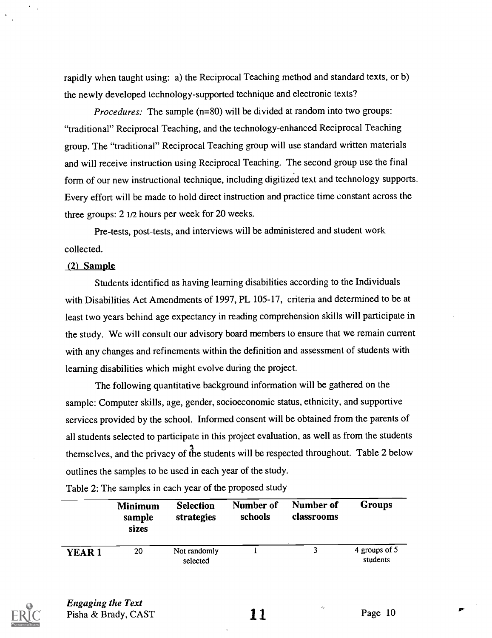rapidly when taught using: a) the Reciprocal Teaching method and standard texts, or b) the newly developed technology-supported technique and electronic texts?

Procedures: The sample (n=80) will be divided at random into two groups: "traditional" Reciprocal Teaching, and the technology-enhanced Reciprocal Teaching group. The "traditional" Reciprocal Teaching group will use standard written materials and will receive instruction using Reciprocal Teaching. The second group use the final form of our new instructional technique, including digitized text and technology supports. Every effort will be made to hold direct instruction and practice time constant across the three groups: 2 1/2 hours per week for 20 weeks.

Pre-tests, post-tests, and interviews will be administered and student work collected.

#### (2) Sample

Students identified as having learning disabilities according to the Individuals with Disabilities Act Amendments of 1997, PL 105-17, criteria and determined to be at least two years behind age expectancy in reading comprehension skills will participate in the study. We will consult our advisory board members to ensure that we remain current with any changes and refinements within the definition and assessment of students with learning disabilities which might evolve during the project.

The following quantitative background information will be gathered on the sample: Computer skills, age, gender, socioeconomic status, ethnicity, and supportive services provided by the school. Informed consent will be obtained from the parents of all students selected to participate in this project evaluation, as well as from the students themselves, and the privacy of the students will be respected throughout. Table 2 below outlines the samples to be used in each year of the study.

|              | <b>Minimum</b><br>sample<br>sizes | <b>Selection</b><br>strategies | Number of<br>schools | Number of<br>classrooms | <b>Groups</b>             |
|--------------|-----------------------------------|--------------------------------|----------------------|-------------------------|---------------------------|
| <b>YEAR1</b> | 20                                | Not randomly<br>selected       |                      |                         | 4 groups of 5<br>students |

Table 2: The samples in each year of the proposed study



Engaging the Text Pisha & Brady, CAST  $11$  Page 10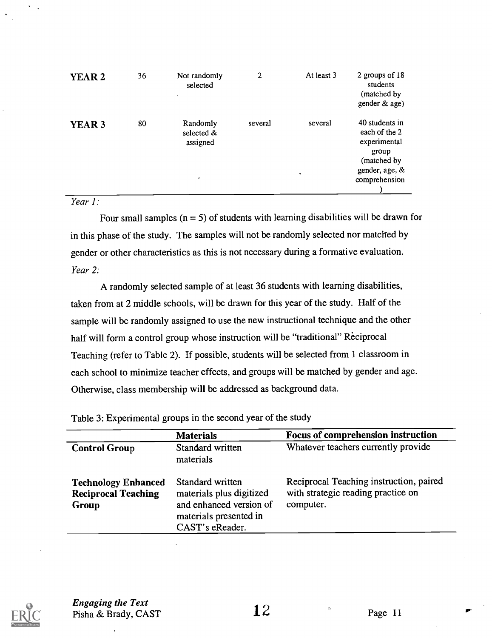| YEAR <sub>2</sub> | 36 | Not randomly<br>selected                        | $\overline{c}$ | At least 3         | 2 groups of 18<br>students<br>(matched by<br>gender & age)                                                 |  |
|-------------------|----|-------------------------------------------------|----------------|--------------------|------------------------------------------------------------------------------------------------------------|--|
| YEAR <sub>3</sub> | 80 | Randomly<br>selected &<br>assigned<br>$\bullet$ | several        | several<br>$\cdot$ | 40 students in<br>each of the 2<br>experimental<br>group<br>(matched by<br>gender, age, &<br>comprehension |  |

#### Year 1:

Four small samples ( $n = 5$ ) of students with learning disabilities will be drawn for in this phase of the study. The samples will not be randomly selected nor matched by gender or other characteristics as this is not necessary during a formative evaluation. Year 2:

A randomly selected sample of at least 36 students with learning disabilities, taken from at 2 middle schools, will be drawn for this year of the study. Half of the sample will be randomly assigned to use the new instructional technique and the other half will form a control group whose instruction will be "traditional" Reciprocal Teaching (refer to Table 2). If possible, students will be selected from 1 classroom in each school to minimize teacher effects, and groups will be matched by gender and age. Otherwise, class membership will be addressed as background data.

Table 3: Experimental groups in the second year of the study

|                                                                   | <b>Materials</b>                                                                                                     | Focus of comprehension instruction                                                         |
|-------------------------------------------------------------------|----------------------------------------------------------------------------------------------------------------------|--------------------------------------------------------------------------------------------|
| <b>Control Group</b>                                              | Standard written<br>materials                                                                                        | Whatever teachers currently provide                                                        |
| <b>Technology Enhanced</b><br><b>Reciprocal Teaching</b><br>Group | Standard written<br>materials plus digitized<br>and enhanced version of<br>materials presented in<br>CAST's eReader. | Reciprocal Teaching instruction, paired<br>with strategic reading practice on<br>computer. |



Engaging the Text  $\frac{2}{\pi}$  Pisha & Brady, CAST 22 Page 11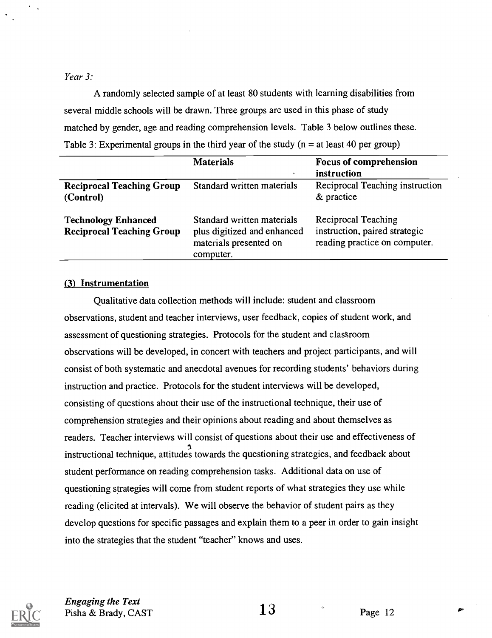Year 3:

A randomly selected sample of at least 80 students with learning disabilities from several middle schools will be drawn. Three groups are used in this phase of study matched by gender, age and reading comprehension levels. Table 3 below outlines these. Table 3: Experimental groups in the third year of the study ( $n =$  at least 40 per group)

|                                                                | <b>Materials</b><br>۰                                                                            | <b>Focus of comprehension</b><br>instruction                                          |
|----------------------------------------------------------------|--------------------------------------------------------------------------------------------------|---------------------------------------------------------------------------------------|
| <b>Reciprocal Teaching Group</b><br>(Control)                  | Standard written materials                                                                       | Reciprocal Teaching instruction<br>& practice                                         |
| <b>Technology Enhanced</b><br><b>Reciprocal Teaching Group</b> | Standard written materials<br>plus digitized and enhanced<br>materials presented on<br>computer. | Reciprocal Teaching<br>instruction, paired strategic<br>reading practice on computer. |

#### (3) Instrumentation

Qualitative data collection methods will include: student and classroom observations, student and teacher interviews, user feedback, copies of student work, and assessment of questioning strategies. Protocols for the student and classroom observations will be developed, in concert with teachers and project participants, and will consist of both systematic and anecdotal avenues for recording students' behaviors during instruction and practice. Protocols for the student interviews will be developed, consisting of questions about their use of the instructional technique, their use of comprehension strategies and their opinions about reading and about themselves as readers. Teacher interviews will consist of questions about their use and effectiveness of instructional technique, attitudes towards the questioning strategies, and feedback about student performance on reading comprehension tasks. Additional data on use of questioning strategies will come from student reports of what strategies they use while reading (elicited at intervals). We will observe the behavior of student pairs as they develop questions for specific passages and explain them to a peer in order to gain insight into the strategies that the student "teacher" knows and uses.



Engaging the Text  $\frac{2\pi a_0 \sin \theta}{2}$  Pisha & Brady, CAST  $13$  Page 12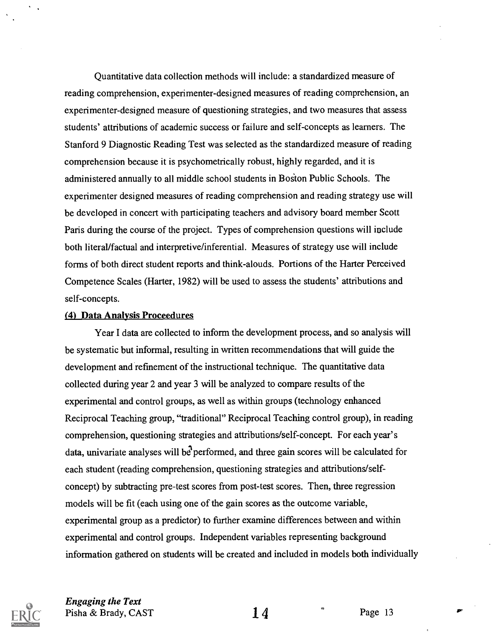Quantitative data collection methods will include: a standardized measure of reading comprehension, experimenter-designed measures of reading comprehension, an experimenter-designed measure of questioning strategies, and two measures that assess students' attributions of academic success or failure and self-concepts as learners. The Stanford 9 Diagnostic Reading Test was selected as the standardized measure of reading comprehension because it is psychometrically robust, highly regarded, and it is administered annually to all middle school students in Boston Public Schools. The experimenter designed measures of reading comprehension and reading strategy use will be developed in concert with participating teachers and advisory board member Scott Paris during the course of the project. Types of comprehension questions will include both literal/factual and interpretive/inferential. Measures of strategy use will include forms of both direct student reports and think-alouds. Portions of the Harter Perceived Competence Scales (Harter, 1982) will be used to assess the students' attributions and self-concepts.

#### (4) Data Analysis Proceedures

Year I data are collected to inform the development process, and so analysis will be systematic but informal, resulting in written recommendations that will guide the development and refinement of the instructional technique. The quantitative data collected during year 2 and year 3 will be analyzed to compare results of the experimental and control groups, as well as within groups (technology enhanced Reciprocal Teaching group, "traditional" Reciprocal Teaching control group), in reading comprehension, questioning strategies and attributions/self-concept. For each year's data, univariate analyses will be performed, and three gain scores will be calculated for each student (reading comprehension, questioning strategies and attributions/selfconcept) by subtracting pre-test scores from post-test scores. Then, three regression models will be fit (each using one of the gain scores as the outcome variable, experimental group as a predictor) to further examine differences between and within experimental and control groups. Independent variables representing background information gathered on students will be created and included in models both individually



Engaging the Text Pisha & Brady, CAST  $14$  Page 13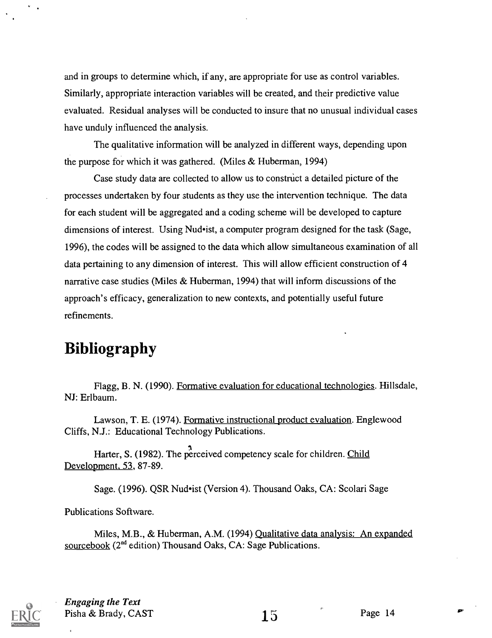and in groups to determine which, if any, are appropriate for use as control variables. Similarly, appropriate interaction variables will be created, and their predictive value evaluated. Residual analyses will be conducted to insure that no unusual individual cases have unduly influenced the analysis.

The qualitative information will be analyzed in different ways, depending upon the purpose for which it was gathered. (Miles & Huberman, 1994)

Case study data are collected to allow us to construct a detailed picture of the processes undertaken by four students as they use the intervention technique. The data for each student will be aggregated and a coding scheme will be developed to capture dimensions of interest. Using Nud•ist, a computer program designed for the task (Sage, 1996), the codes will be assigned to the data which allow simultaneous examination of all data pertaining to any dimension of interest. This will allow efficient construction of 4 narrative case studies (Miles & Huberman, 1994) that will inform discussions of the approach's efficacy, generalization to new contexts, and potentially useful future refinements.

# Bibliography

Flagg, B. N. (1990). Formative evaluation for educational technologies. Hillsdale, NJ: Erlbaum.

Lawson, T. E. (1974). Formative instructional product evaluation. Englewood Cliffs, N.J.: Educational Technology Publications.

Harter, S. (1982). The perceived competency scale for children. Child Development, 53, 87-89.

Sage. (1996). QSR Nud•ist (Version 4). Thousand Oaks, CA: Scolari Sage

Publications Software.

Miles, M.B., & Huberman, A.M. (1994) Qualitative data analysis: An expanded sourcebook (2<sup>nd</sup> edition) Thousand Oaks, CA: Sage Publications.



Engaging the Text Pisha & Brady, CAST  $15$  Page 14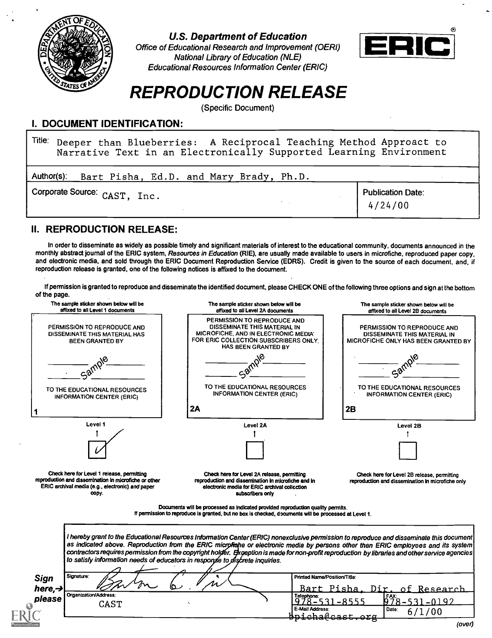

U.S. Department of Education

Office of Educational Research and Improvement (OERI) National Library of Education (NLE) Educational Resources Information Center (ERIC)



# REPRODUCTION RELEASE

(Specific Document)

### I. DOCUMENT IDENTIFICATION:

<sup>Title:</sup> Deeper than Blueberries: A Reciprocal Teaching Method Approact to | Narrative Text in an Electronically Supported Learning Environment

| Author(s):                   | Bart Pisha, Ed.D. and Mary Brady, Ph.D. |  |  |                                     |  |
|------------------------------|-----------------------------------------|--|--|-------------------------------------|--|
| Corporate Source: CAST, Inc. |                                         |  |  | <b>Publication Date:</b><br>4/24/00 |  |

### II. REPRODUCTION RELEASE:

In order to disseminate as widely as possible timely and significant materials of interest to the educational community, documents announced in the monthly abstract journal of the ERIC system, Resources in Education (RIE), are usually made available to users in microfiche, reproduced paper copy, and electronic media, and sold through the ERIC Document Reproduction Service (EDRS). Credit is given to the source of each document, and, if reproduction release is granted, one of the following notices is affixed to the document.

If permission is granted to reproduce and disseminate the identified document, please CHECK ONE of the following three options and sign at the bottom of the page.

| The sample sticker shown below will be<br>affixed to all Level 1 documents                                                                                       | The sample sticker shown below will be<br>affixed to all Level 2A documents                                                                                                                                                                                                                                                                                                                                                                                                                                       | The sample sticker shown below will be<br>affixed to all Level 2B documents                        |
|------------------------------------------------------------------------------------------------------------------------------------------------------------------|-------------------------------------------------------------------------------------------------------------------------------------------------------------------------------------------------------------------------------------------------------------------------------------------------------------------------------------------------------------------------------------------------------------------------------------------------------------------------------------------------------------------|----------------------------------------------------------------------------------------------------|
| PERMISSION TO REPRODUCE AND<br>DISSEMINATE THIS MATERIAL HAS<br><b>BEEN GRANTED BY</b>                                                                           | PERMISSION TO REPRODUCE AND<br>DISSEMINATE THIS MATERIAL IN<br>MICROFICHE, AND IN ELECTRONIC MEDIA'<br>FOR ERIC COLLECTION SUBSCRIBERS ONLY.<br><b>HAS BEEN GRANTED BY</b>                                                                                                                                                                                                                                                                                                                                        | PERMISSION TO REPRODUCE AND<br>DISSEMINATE THIS MATERIAL IN<br>MICROFICHE ONLY HAS BEEN GRANTED BY |
| ca <sub>4</sub>                                                                                                                                                  |                                                                                                                                                                                                                                                                                                                                                                                                                                                                                                                   |                                                                                                    |
| TO THE EDUCATIONAL RESOURCES<br><b>INFORMATION CENTER (ERIC)</b>                                                                                                 | TO THE EDUCATIONAL RESOURCES<br><b>INFORMATION CENTER (ERIC)</b>                                                                                                                                                                                                                                                                                                                                                                                                                                                  | TO THE EDUCATIONAL RESOURCES<br><b>INFORMATION CENTER (ERIC)</b>                                   |
|                                                                                                                                                                  | 2A                                                                                                                                                                                                                                                                                                                                                                                                                                                                                                                | 2B                                                                                                 |
| Level 1                                                                                                                                                          | Level 2A                                                                                                                                                                                                                                                                                                                                                                                                                                                                                                          | Level 2B                                                                                           |
|                                                                                                                                                                  |                                                                                                                                                                                                                                                                                                                                                                                                                                                                                                                   |                                                                                                    |
| Check here for Level 1 release, permitting<br>reproduction and dissemination in microfiche or other<br>ERIC archival media (e.g., electronic) and paper<br>copy. | Check here for Level 2A release, permitting<br>reproduction and dissemination in microfiche and in<br>electronic media for ERIC archival collection<br>subscribers only                                                                                                                                                                                                                                                                                                                                           | Check here for Level 2B release, permitting<br>reproduction and dissemination in microfiche only   |
|                                                                                                                                                                  | Documents will be processed as indicated provided reproduction quality permits.                                                                                                                                                                                                                                                                                                                                                                                                                                   |                                                                                                    |
|                                                                                                                                                                  | If permission to reproduce is granted, but no box is checked, documents will be processed at Level 1.                                                                                                                                                                                                                                                                                                                                                                                                             |                                                                                                    |
|                                                                                                                                                                  | I hereby grant to the Educational Resources Information Center (ERIC) nonexclusive permission to reproduce and disseminate this document<br>as indicated above. Reproduction from the ERIC microfiche or electronic media by persons other than ERIC employees and its system<br>contractors requires permission from the copyright holder. Exception is made for non-profit reproduction by libraries and other service agencies<br>to satisfy information needs of educators in response to discrete inquiries. |                                                                                                    |
| Signature:                                                                                                                                                       | Printed Name/Position/Title:                                                                                                                                                                                                                                                                                                                                                                                                                                                                                      |                                                                                                    |
| Sign<br>here, $\rightarrow$<br>Organization/Address:<br>please<br>CAST                                                                                           | Telephone:<br><u>978–531</u><br>E-Mail Address:                                                                                                                                                                                                                                                                                                                                                                                                                                                                   | Bart Pisha.<br>Dir.<br>of<br>Research<br>FAX:<br>$-0192$<br>-8555<br>1978–<br>Date:<br>6/1/00      |